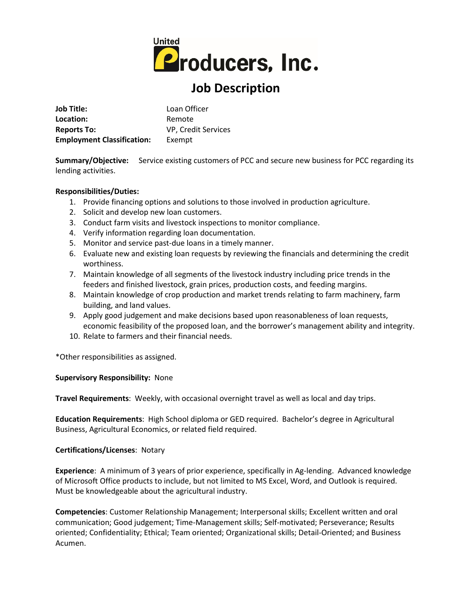

# **Job Description**

**Job Title:** Loan Officer Location: Remote **Reports To:** VP, Credit Services **Employment Classification:** Exempt

**Summary/Objective:** Service existing customers of PCC and secure new business for PCC regarding its lending activities.

### **Responsibilities/Duties:**

- 1. Provide financing options and solutions to those involved in production agriculture.
- 2. Solicit and develop new loan customers.
- 3. Conduct farm visits and livestock inspections to monitor compliance.
- 4. Verify information regarding loan documentation.
- 5. Monitor and service past-due loans in a timely manner.
- 6. Evaluate new and existing loan requests by reviewing the financials and determining the credit worthiness.
- 7. Maintain knowledge of all segments of the livestock industry including price trends in the feeders and finished livestock, grain prices, production costs, and feeding margins.
- 8. Maintain knowledge of crop production and market trends relating to farm machinery, farm building, and land values.
- 9. Apply good judgement and make decisions based upon reasonableness of loan requests, economic feasibility of the proposed loan, and the borrower's management ability and integrity.
- 10. Relate to farmers and their financial needs.

\*Other responsibilities as assigned.

#### **Supervisory Responsibility:** None

**Travel Requirements**: Weekly, with occasional overnight travel as well as local and day trips.

**Education Requirements**: High School diploma or GED required. Bachelor's degree in Agricultural Business, Agricultural Economics, or related field required.

#### **Certifications/Licenses**: Notary

**Experience**: A minimum of 3 years of prior experience, specifically in Ag-lending. Advanced knowledge of Microsoft Office products to include, but not limited to MS Excel, Word, and Outlook is required. Must be knowledgeable about the agricultural industry.

**Competencies**: Customer Relationship Management; Interpersonal skills; Excellent written and oral communication; Good judgement; Time-Management skills; Self-motivated; Perseverance; Results oriented; Confidentiality; Ethical; Team oriented; Organizational skills; Detail-Oriented; and Business Acumen.